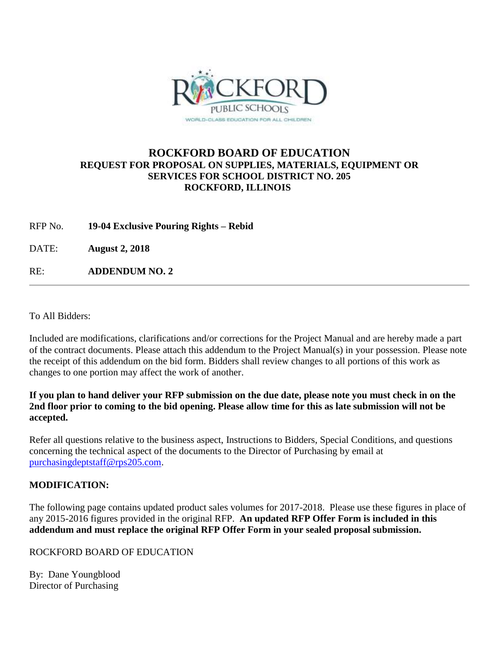

## **ROCKFORD BOARD OF EDUCATION REQUEST FOR PROPOSAL ON SUPPLIES, MATERIALS, EQUIPMENT OR SERVICES FOR SCHOOL DISTRICT NO. 205 ROCKFORD, ILLINOIS**

RFP No. **19-04 Exclusive Pouring Rights – Rebid**

DATE: **August 2, 2018**

RE: **ADDENDUM NO. 2**

To All Bidders:

Included are modifications, clarifications and/or corrections for the Project Manual and are hereby made a part of the contract documents. Please attach this addendum to the Project Manual(s) in your possession. Please note the receipt of this addendum on the bid form. Bidders shall review changes to all portions of this work as changes to one portion may affect the work of another.

#### **If you plan to hand deliver your RFP submission on the due date, please note you must check in on the 2nd floor prior to coming to the bid opening. Please allow time for this as late submission will not be accepted.**

Refer all questions relative to the business aspect, Instructions to Bidders, Special Conditions, and questions concerning the technical aspect of the documents to the Director of Purchasing by email at [purchasingdeptstaff@rps205.com.](mailto:purchasingdeptstaff@rps205.com)

## **MODIFICATION:**

The following page contains updated product sales volumes for 2017-2018. Please use these figures in place of any 2015-2016 figures provided in the original RFP. **An updated RFP Offer Form is included in this addendum and must replace the original RFP Offer Form in your sealed proposal submission.**

### ROCKFORD BOARD OF EDUCATION

By: Dane Youngblood Director of Purchasing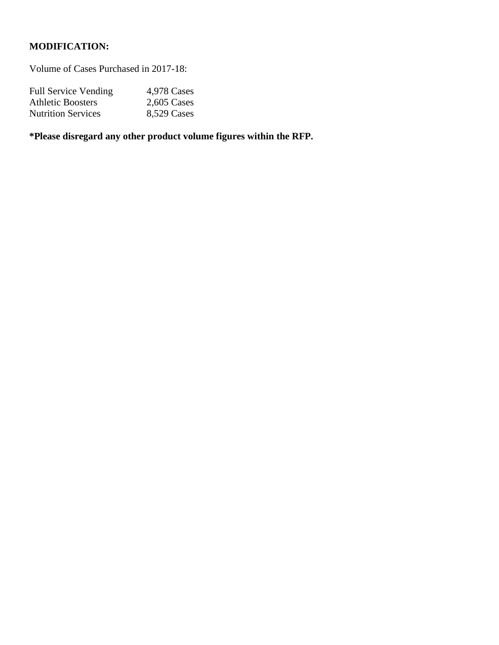# **MODIFICATION:**

Volume of Cases Purchased in 2017-18:

| <b>Full Service Vending</b> | 4,978 Cases   |
|-----------------------------|---------------|
| <b>Athletic Boosters</b>    | $2,605$ Cases |
| <b>Nutrition Services</b>   | 8,529 Cases   |

**\*Please disregard any other product volume figures within the RFP.**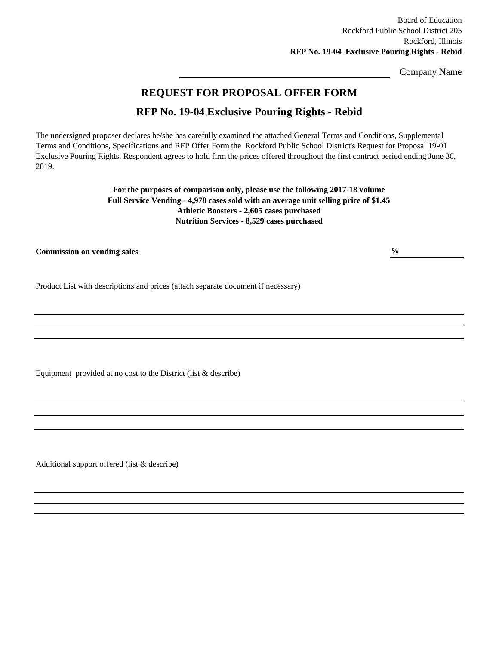Board of Education Rockford Public School District 205 Rockford, Illinois **RFP No. 19-04 Exclusive Pouring Rights - Rebid**

Company Name

## **REQUEST FOR PROPOSAL OFFER FORM**

# **RFP No. 19-04 Exclusive Pouring Rights - Rebid**

The undersigned proposer declares he/she has carefully examined the attached General Terms and Conditions, Supplemental Terms and Conditions, Specifications and RFP Offer Form the Rockford Public School District's Request for Proposal 19-01 Exclusive Pouring Rights. Respondent agrees to hold firm the prices offered throughout the first contract period ending June 30, 2019.

> **For the purposes of comparison only, please use the following 2017-18 volume Full Service Vending - 4,978 cases sold with an average unit selling price of \$1.45 Athletic Boosters - 2,605 cases purchased Nutrition Services - 8,529 cases purchased**

**Commission on vending sales**

**%**

Product List with descriptions and prices (attach separate document if necessary)

Equipment provided at no cost to the District (list & describe)

Additional support offered (list & describe)